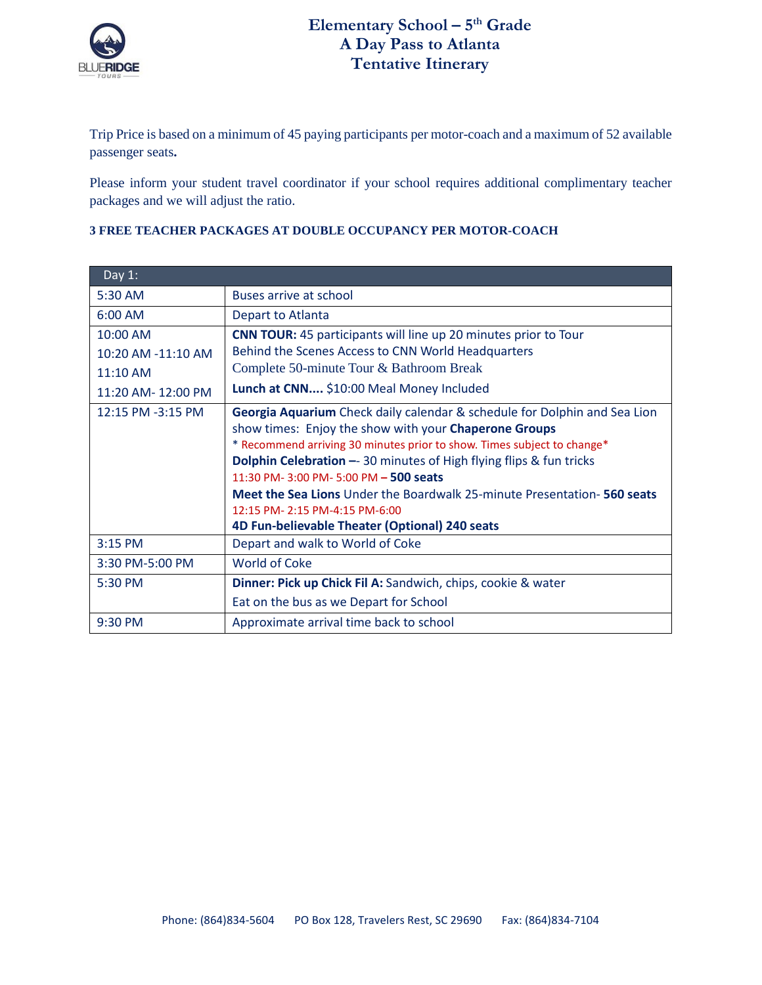

Trip Price is based on a minimum of 45 paying participants per motor-coach and a maximum of 52 available passenger seats**.** 

Please inform your student travel coordinator if your school requires additional complimentary teacher packages and we will adjust the ratio.

| Day $1$ :          |                                                                                |  |  |
|--------------------|--------------------------------------------------------------------------------|--|--|
| 5:30 AM            | Buses arrive at school                                                         |  |  |
| $6:00$ AM          | Depart to Atlanta                                                              |  |  |
| 10:00 AM           | <b>CNN TOUR:</b> 45 participants will line up 20 minutes prior to Tour         |  |  |
| 10:20 AM -11:10 AM | Behind the Scenes Access to CNN World Headquarters                             |  |  |
| 11:10 AM           | Complete 50-minute Tour & Bathroom Break                                       |  |  |
| 11:20 AM-12:00 PM  | Lunch at CNN \$10:00 Meal Money Included                                       |  |  |
| 12:15 PM -3:15 PM  | Georgia Aquarium Check daily calendar & schedule for Dolphin and Sea Lion      |  |  |
|                    | show times: Enjoy the show with your Chaperone Groups                          |  |  |
|                    | * Recommend arriving 30 minutes prior to show. Times subject to change*        |  |  |
|                    | <b>Dolphin Celebration -- 30 minutes of High flying flips &amp; fun tricks</b> |  |  |
|                    | 11:30 PM- 3:00 PM- 5:00 PM - 500 seats                                         |  |  |
|                    | <b>Meet the Sea Lions</b> Under the Boardwalk 25-minute Presentation-560 seats |  |  |
|                    | 12:15 PM- 2:15 PM-4:15 PM-6:00                                                 |  |  |
|                    | 4D Fun-believable Theater (Optional) 240 seats                                 |  |  |
| $3:15$ PM          | Depart and walk to World of Coke                                               |  |  |
| 3:30 PM-5:00 PM    | <b>World of Coke</b>                                                           |  |  |
| 5:30 PM            | Dinner: Pick up Chick Fil A: Sandwich, chips, cookie & water                   |  |  |
|                    | Eat on the bus as we Depart for School                                         |  |  |
| 9:30 PM            | Approximate arrival time back to school                                        |  |  |

## **3 FREE TEACHER PACKAGES AT DOUBLE OCCUPANCY PER MOTOR-COACH**